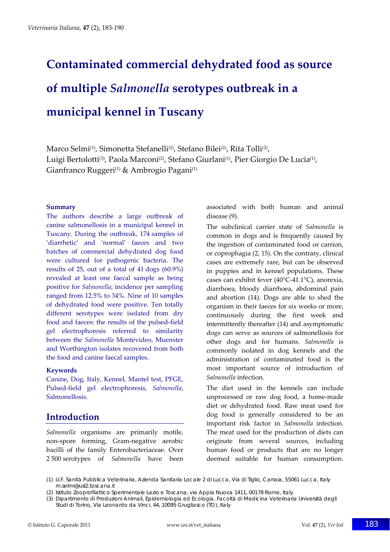# **Contaminated commercial dehydrated food as source of multiple** *Salmonella* **serotypes outbreak in a municipal kennel in Tuscany**

Marco Selmi<sup>(1)</sup>, Simonetta Stefanelli<sup>(2)</sup>, Stefano Bilei<sup>(2)</sup>, Rita Tolli<sup>(2)</sup>, Luigi Bertolotti<sup>(3)</sup>, Paola Marconi<sup>(2)</sup>, Stefano Giurlani<sup>(1)</sup>, Pier Giorgio De Lucia<sup>(1)</sup>, Gianfranco Ruggeri<sup>(1)</sup> & Ambrogio Pagani<sup>(1)</sup>

#### **Summary**

The authors describe a large outbreak of canine salmonellosis in a municipal kennel in Tuscany. During the outbreak, 174 samples of 'diarrhetic' and 'normal' faeces and two batches of commercial dehydrated dog food were cultured for pathogenic bacteria. The results of 25, out of a total of 41 dogs (60.9%) revealed at least one faecal sample as being positive for *Salmonella*; incidence per sampling ranged from 12.5% to 34%. Nine of 10 samples of dehydrated food were positive. Ten totally different serotypes were isolated from dry food and faeces: the results of the pulsed‐field gel electrophoresis referred to similarity between the *Salmonella* Montevideo, Muenster and Worthington isolates recovered from both the food and canine faecal samples.

#### **Keywords**

Canine, Dog, Italy, Kennel, Mantel test, PFGE, Pulsed‐field gel electrophoresis, *Salmonella*, Salmonellosis.

## **Introduction**

*Salmonella* organisms are primarily motile, non‐spore forming, Gram‐negative aerobic bacilli of the family Enterobacteriaceae. Over 2 500 serotypes of *Salmonella* have been associated with both human and animal disease (9).

The subclinical carrier state of *Salmonella* is common in dogs and is frequently caused by the ingestion of contaminated food or carrion, or coprophagia (2, 15). On the contrary, clinical cases are extremely rare, but can be observed in puppies and in kennel populations. These cases can exhibit fever (40°C‐41.1°C), anorexia, diarrhoea, bloody diarrhoea, abdominal pain and abortion (14). Dogs are able to shed the organism in their faeces for six weeks or more, continuously during the first week and intermittently thereafter (14) and asymptomatic dogs can serve as sources of salmonellosis for other dogs and for humans. *Salmonella* is commonly isolated in dog kennels and the administration of contaminated food is the most important source of introduction of *Salmonella* infection.

The diet used in the kennels can include unprocessed or raw dog food, a home‐made diet or dehydrated food. Raw meat used for dog food is generally considered to be an important risk factor in *Salmonella* infection. The meat used for the production of diets can originate from several sources, including human food or products that are no longer deemed suitable for human consumption.

(1) U.F. Sanità Pubblica Veterinaria, Azienda Sanitaria Locale 2 di Lucca, Via di Tiglio, Carraia, 55061 Lucca, Italy m.selmi@usl2.toscana.it

<sup>(2)</sup> Istituto Zooprofilattico Sperimentale Lazio e Toscana, via Appia Nuova 1411, 00178 Rome, Italy

<sup>(3)</sup> Dipartimento di Produzioni Animali, Epidemiologia ed Ecologia, Facoltà di Medicina Veterinaria Università degli Studi di Torino, Via Leonardo da Vinci, 44, 10095 Grugliasco (TO), Italy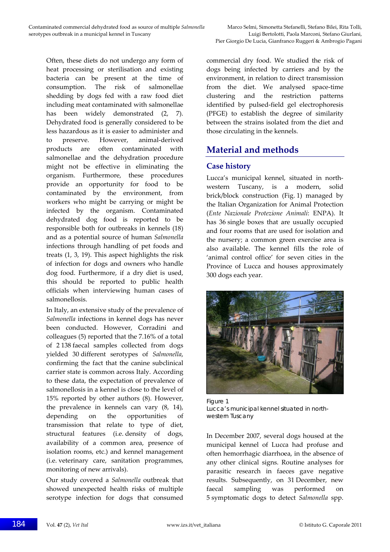Often, these diets do not undergo any form of heat processing or sterilisation and existing bacteria can be present at the time of consumption. The risk of salmonellae shedding by dogs fed with a raw food diet including meat contaminated with salmonellae has been widely demonstrated (2, 7). Dehydrated food is generally considered to be less hazardous as it is easier to administer and to preserve. However, animal-derived products are often contaminated with salmonellae and the dehydration procedure might not be effective in eliminating the organism. Furthermore, these procedures provide an opportunity for food to be contaminated by the environment, from workers who might be carrying or might be infected by the organism. Contaminated dehydrated dog food is reported to be responsible both for outbreaks in kennels (18) and as a potential source of human *Salmonella* infections through handling of pet foods and treats (1, 3, 19). This aspect highlights the risk of infection for dogs and owners who handle dog food. Furthermore, if a dry diet is used, this should be reported to public health officials when interviewing human cases of salmonellosis.

In Italy, an extensive study of the prevalence of *Salmonella* infections in kennel dogs has never been conducted. However, Corradini and colleagues (5) reported that the 7.16% of a total of 2 138 faecal samples collected from dogs yielded 30 different serotypes of *Salmonella*, confirming the fact that the canine subclinical carrier state is common across Italy. According to these data, the expectation of prevalence of salmonellosis in a kennel is close to the level of 15% reported by other authors (8). However, the prevalence in kennels can vary (8, 14), depending on the opportunities of transmission that relate to type of diet, structural features (i.e. density of dogs, availability of a common area, presence of isolation rooms, etc.) and kennel management (i.e. veterinary care, sanitation programmes, monitoring of new arrivals).

Our study covered a *Salmonella* outbreak that showed unexpected health risks of multiple serotype infection for dogs that consumed

commercial dry food. We studied the risk of dogs being infected by carriers and by the environment, in relation to direct transmission from the diet. We analysed space-time clustering and the restriction patterns identified by pulsed‐field gel electrophoresis (PFGE) to establish the degree of similarity between the strains isolated from the diet and those circulating in the kennels.

# **Material and methods**

## **Case history**

Lucca's municipal kennel, situated in north‐ western Tuscany, is a modern, solid brick/block construction (Fig. 1) managed by the Italian Organization for Animal Protection (*Ente Nazionale Protezione Animali*: ENPA). It has 36 single boxes that are usually occupied and four rooms that are used for isolation and the nursery; a common green exercise area is also available. The kennel fills the role of 'animal control office' for seven cities in the Province of Lucca and houses approximately 300 dogs each year.



Figure 1 Lucca's municipal kennel situated in northwestern Tuscany

In December 2007, several dogs housed at the municipal kennel of Lucca had profuse and often hemorrhagic diarrhoea, in the absence of any other clinical signs. Routine analyses for parasitic research in faeces gave negative results. Subsequently, on 31 December, new faecal sampling was performed on 5 symptomatic dogs to detect *Salmonella* spp.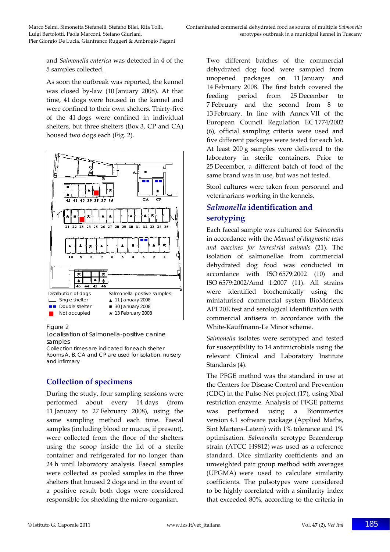Pier Giorgio De Lucia, Gianfranco Ruggeri & Ambrogio Pagani

and *Salmonella enterica* was detected in 4 of the 5 samples collected.

As soon the outbreak was reported, the kennel was closed by‐law (10 January 2008). At that time, 41 dogs were housed in the kennel and were confined to their own shelters. Thirty‐five of the 41 dogs were confined in individual shelters, but three shelters (Box 3, CP and CA) housed two dogs each (Fig. 2).



#### Figure 2

Localisation of *Salmonella*-positive canine samples

Collection times are indicated for each shelter Rooms A, B, CA and CP are used for isolation, nursery and infirmary

## **Collection of specimens**

During the study, four sampling sessions were performed about every 14 days (from 11 January to 27 February 2008), using the same sampling method each time. Faecal samples (including blood or mucus, if present), were collected from the floor of the shelters using the scoop inside the lid of a sterile container and refrigerated for no longer than 24 h until laboratory analysis. Faecal samples were collected as pooled samples in the three shelters that housed 2 dogs and in the event of a positive result both dogs were considered responsible for shedding the micro‐organism.

Two different batches of the commercial dehydrated dog food were sampled from unopened packages on 11 January and 14 February 2008. The first batch covered the feeding period from 25 December to 7 February and the second from 8 to 13 February. In line with Annex VII of the European Council Regulation EC 1774/2002 (6), official sampling criteria were used and five different packages were tested for each lot. At least 200 g samples were delivered to the laboratory in sterile containers. Prior to 25 December, a different batch of food of the same brand was in use, but was not tested.

Stool cultures were taken from personnel and veterinarians working in the kennels.

## *Salmonella* **identification and serotyping**

Each faecal sample was cultured for *Salmonella* in accordance with the *Manual of diagnostic tests and vaccines for terrestrial animals* (21). The isolation of salmonellae from commercial dehydrated dog food was conducted in accordance with ISO 6579:2002 (10) and ISO 6579:2002/Amd 1:2007 (11). All strains were identified biochemically using the miniaturised commercial system BioMérieux API 20E test and serological identification with commercial antisera in accordance with the White‐Kauffmann‐Le Minor scheme.

*Salmonella* isolates were serotyped and tested for susceptibility to 14 antimicrobials using the relevant Clinical and Laboratory Institute Standards (4).

The PFGE method was the standard in use at the Centers for Disease Control and Prevention (CDC) in the Pulse‐Net project (17), using XbaI restriction enzyme. Analysis of PFGE patterns was performed using a Bionumerics version 4.1 software package (Applied Maths, Sint Martens‐Latem) with 1% tolerance and 1% optimisation. *Salmonella* serotype Braenderup strain (ATCC H9812) was used as a reference standard. Dice similarity coefficients and an unweighted pair group method with averages (UPGMA) were used to calculate similarity coefficients. The pulsotypes were considered to be highly correlated with a similarity index that exceeded 80%, according to the criteria in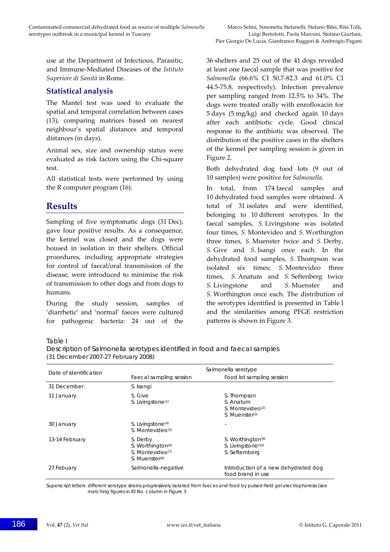use at the Department of Infectious, Parasitic, and Immune‐Mediated Diseases of the *Istituto Superiore di Sanità* in Rome.

#### **Statistical analysis**

The Mantel test was used to evaluate the spatial and temporal correlation between cases (13), comparing matrices based on nearest neighbour's spatial distances and temporal distances (in days).

Animal sex, size and ownership status were evaluated as risk factors using the Chi‐square test.

All statistical tests were performed by using the R computer program (16).

# **Results**

Sampling of five symptomatic dogs (31 Dec), gave four positive results. As a consequence, the kennel was closed and the dogs were housed in isolation in their shelters. Official procedures, including appropriate strategies for control of faecal/oral transmission of the disease, were introduced to minimise the risk of transmission to other dogs and from dogs to humans.

During the study session, samples of 'diarrhetic' and 'normal' faeces were cultured for pathogenic bacteria: 24 out of the 36 shelters and 25 out of the 41 dogs revealed at least one faecal sample that was positive for *Salmonella* (66.6% CI 50.7‐82.3 and 61.0% CI 44.5‐75.8, respectively). Infection prevalence per sampling ranged from 12.5% to 34%. The dogs were treated orally with enrofloxacin for 5 days (5 mg/kg) and checked again 10 days after each antibiotic cycle. Good clinical response to the antibiotic was observed. The distribution of the positive cases in the shelters of the kennel per sampling session is given in Figure 2.

Both dehydrated dog food lots (9 out of 10 samples) were positive for *Salmonella*.

In total, from 174 faecal samples and 10 dehydrated food samples were obtained. A total of 31 isolates and were identified, belonging to 10 different serotypes. In the faecal samples, *S.* Livingstone was isolated four times, *S.* Montevideo and *S.* Worthington three times, *S.* Muenster twice and *S.* Derby, *S.* Give and *S.* Isangi once each. In the dehydrated food samples, *S.* Thompson was isolated six times; *S.* Montevideo three times, *S.* Anatum and *S.* Seftenberg twice *S.* Livingstone and *S.* Muenster and *S.* Worthington once each. The distribution of the serotypes identified is presented in Table I and the similarities among PFGE restriction patterns is shown in Figure 3.

#### Table I

| Description of <i>Salmonella</i> serotypes identified in food and faecal samples |
|----------------------------------------------------------------------------------|
| (31 December 2007-27 February 2008)                                              |

| Date of identification | Salmonella serotype                                                                                     |                                                                                          |
|------------------------|---------------------------------------------------------------------------------------------------------|------------------------------------------------------------------------------------------|
|                        | Faecal sampling session                                                                                 | Food lot sampling session                                                                |
| 31 December            | S. Isangi                                                                                               |                                                                                          |
| 11 January             | S. Give<br>S. Livingstone <sup>(1)</sup>                                                                | S. Thompson<br>S. Anatum<br>$S.$ Montevideo <sup>(2)</sup><br>S. Muenster <sup>(3)</sup> |
| 30 January             | S. Livingstone <sup>(4)</sup><br>S. Montevideo <sup>(5)</sup>                                           |                                                                                          |
| 13-14 February         | S. Derby<br>S. Worthington <sup>(6)</sup><br>S. Montevideo <sup>(7)</sup><br>S. Muenster <sup>(8)</sup> | S. Worthington <sup>(9)</sup><br>S. Livingstone(10)<br>S. Seftemberg                     |
| 27 Febuary             | Salmonella-negative                                                                                     | Introduction of a new dehydrated dog<br>food brand in use                                |

Superscript letters different serotype strains progressively isolated from faeces and food by pulsed-field gel electrophoresis (see matching figures in ID No. column in Figure 3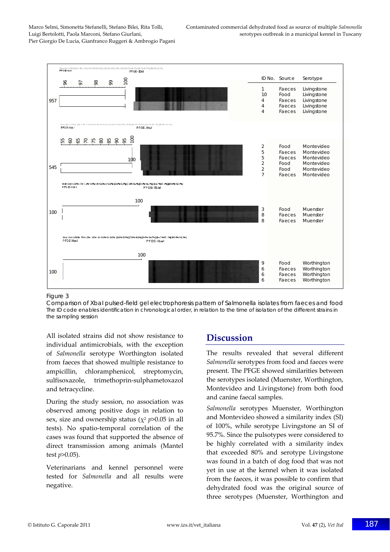

#### Figure 3

Comparison of XbaI pulsed-field gel electrophoresis pattern of *Salmonella* isolates from faeces and food The ID code enables identification in chronological order, in relation to the time of isolation of the different strains in the sampling session

All isolated strains did not show resistance to individual antimicrobials, with the exception of *Salmonella* serotype Worthington isolated from faeces that showed multiple resistance to ampicillin, chloramphenicol, streptomycin, sulfisoxazole, trimethoprin‐sulphametoxazol and tetracycline.

During the study session, no association was observed among positive dogs in relation to sex, size and ownership status ( $\chi^2$  *p*>0.05 in all tests). No spatio‐temporal correlation of the cases was found that supported the absence of direct transmission among animals (Mantel test *p*>0.05).

Veterinarians and kennel personnel were tested for *Salmonella* and all results were negative.

# **Discussion**

The results revealed that several different *Salmonella* serotypes from food and faeces were present. The PFGE showed similarities between the serotypes isolated (Muenster, Worthington, Montevideo and Livingstone) from both food and canine faecal samples.

*Salmonella* serotypes Muenster, Worthington and Montevideo showed a similarity index (SI) of 100%, while serotype Livingstone an SI of 95.7%. Since the pulsotypes were considered to be highly correlated with a similarity index that exceeded 80% and serotype Livingstone was found in a batch of dog food that was not yet in use at the kennel when it was isolated from the faeces, it was possible to confirm that dehydrated food was the original source of three serotypes (Muenster, Worthington and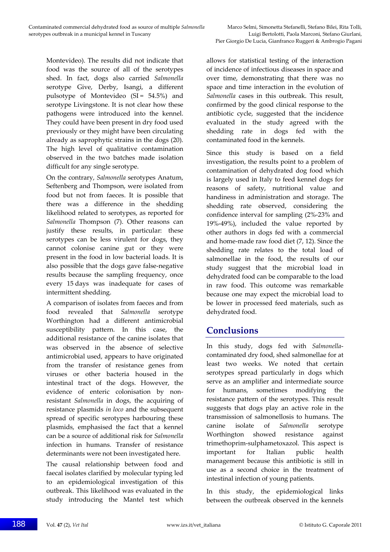Montevideo). The results did not indicate that food was the source of all of the serotypes shed. In fact, dogs also carried *Salmonella* serotype Give, Derby, Isangi, a different pulsotype of Montevideo  $(SI = 54.5%)$  and serotype Livingstone. It is not clear how these pathogens were introduced into the kennel. They could have been present in dry food used previously or they might have been circulating already as saprophytic strains in the dogs (20). The high level of qualitative contamination observed in the two batches made isolation difficult for any single serotype.

On the contrary, *Salmonella* serotypes Anatum, Seftenberg and Thompson, were isolated from food but not from faeces. It is possible that there was a difference in the shedding likelihood related to serotypes, as reported for *Salmonella* Thompson (7). Other reasons can justify these results, in particular: these serotypes can be less virulent for dogs, they cannot colonise canine gut or they were present in the food in low bacterial loads. It is also possible that the dogs gave false‐negative results because the sampling frequency, once every 15 days was inadequate for cases of intermittent shedding.

A comparison of isolates from faeces and from food revealed that *Salmonella* serotype Worthington had a different antimicrobial susceptibility pattern. In this case, the additional resistance of the canine isolates that was observed in the absence of selective antimicrobial used, appears to have originated from the transfer of resistance genes from viruses or other bacteria housed in the intestinal tract of the dogs. However, the evidence of enteric colonisation by nonresistant *Salmonella* in dogs, the acquiring of resistance plasmids *in loco* and the subsequent spread of specific serotypes harbouring these plasmids, emphasised the fact that a kennel can be a source of additional risk for *Salmonella* infection in humans. Transfer of resistance determinants were not been investigated here.

The causal relationship between food and faecal isolates clarified by molecular typing led to an epidemiological investigation of this outbreak. This likelihood was evaluated in the study introducing the Mantel test which

allows for statistical testing of the interaction of incidence of infectious diseases in space and over time, demonstrating that there was no space and time interaction in the evolution of *Salmonella* cases in this outbreak. This result, confirmed by the good clinical response to the antibiotic cycle, suggested that the incidence evaluated in the study agreed with the shedding rate in dogs fed with the contaminated food in the kennels.

Since this study is based on a field investigation, the results point to a problem of contamination of dehydrated dog food which is largely used in Italy to feed kennel dogs for reasons of safety, nutritional value and handiness in administration and storage. The shedding rate observed, considering the confidence interval for sampling (2%‐23% and 19%‐49%), included the value reported by other authors in dogs fed with a commercial and home‐made raw food diet (7, 12). Since the shedding rate relates to the total load of salmonellae in the food, the results of our study suggest that the microbial load in dehydrated food can be comparable to the load in raw food. This outcome was remarkable because one may expect the microbial load to be lower in processed feed materials, such as dehydrated food.

# **Conclusions**

In this study, dogs fed with *Salmonella*‐ contaminated dry food, shed salmonellae for at least two weeks. We noted that certain serotypes spread particularly in dogs which serve as an amplifier and intermediate source for humans, sometimes modifying the resistance pattern of the serotypes. This result suggests that dogs play an active role in the transmission of salmonellosis to humans. The canine isolate of *Salmonella* serotype Worthington showed resistance against trimethoprim‐sulphametoxazol. This aspect is important for Italian public health management because this antibiotic is still in use as a second choice in the treatment of intestinal infection of young patients.

In this study, the epidemiological links between the outbreak observed in the kennels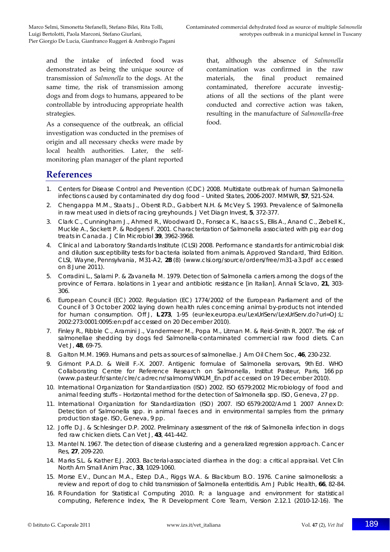and the intake of infected food was demonstrated as being the unique source of transmission of *Salmonella* to the dogs. At the same time, the risk of transmission among dogs and from dogs to humans, appeared to be controllable by introducing appropriate health strategies.

As a consequence of the outbreak, an official investigation was conducted in the premises of origin and all necessary checks were made by local health authorities. Later, the self‐ monitoring plan manager of the plant reported

that, although the absence of *Salmonella* contamination was confirmed in the raw materials, the final product remained contaminated, therefore accurate investigations of all the sections of the plant were conducted and corrective action was taken, resulting in the manufacture of *Salmonella*‐free food.

## **References**

- 1. Centers for Disease Control and Prevention (CDC) 2008. Multistate outbreak of human *Salmonella* infections caused by contaminated dry dog food – United States, 2006-2007. *MMWR*, **57**, 521-524.
- 2. Chengappa M.M., Staats J., Oberst R.D., Gabbert N.H. & McVey S. 1993. Prevalence of *Salmonella* in raw meat used in diets of racing greyhounds. *J Vet Diagn Invest*, **5**, 372-377.
- 3. Clark C., Cunningham J., Ahmed R., Woodward D., Fonseca K., Isaacs S., Ellis A., Anand C., Ziebell K., Muckle A., Sockett P. & Rodgers F. 2001. Characterization of *Salmonella* associated with pig ear dog treats in Canada. *J Clin Microbiol* **39**, 3962-3968.
- 4. Clinical and Laboratory Standards Institute (CLSI) 2008. Performance standards for antimicrobial disk and dilution susceptibility tests for bacteria isolated from animals. Approved Standard, Third Edition. CLSI, Wayne, Pennsylvania, M31-A2, **28** (8) (www.clsi.org/source/orders/free/m31-a3.pdf accessed on 8 June 2011).
- 5. Corradini L., Salami P. & Zavanella M. 1979. Detection of *Salmonella* carriers among the dogs of the province of Ferrara. Isolations in 1 year and antibiotic resistance [in Italian]. *Annali Sclavo*, **21**, 303- 306.
- 6. European Council (EC) 2002. Regulation (EC) 1774/2002 of the European Parliament and of the Council of 3 October 2002 laying down health rules concerning animal by-products not intended for human consumption. *Off J*, **L 273**, 1-95 (eur-lex.europa.eu/LexUriServ/LexUriServ.do?uri=OJ:L: 2002:273:0001:0095:en:pdf accessed on 20 December 2010).
- 7. Finley R., Ribble C., Aramini J., Vandermeer M., Popa M., Litman M. & Reid-Smith R. 2007. The risk of salmonellae shedding by dogs fed *Salmonella*-contaminated commercial raw food diets. *Can Vet J*, **48**, 69-75.
- 8. Galton M.M. 1969. Humans and pets as sources of salmonellae. *J Am Oil Chem Soc*, **46**, 230-232.
- 9. Grimont P.A.D. & Weill F.-X. 2007. Antigenic formulae of *Salmonella* serovars, 9th Ed. WHO Collaborating Centre for Reference Research on *Salmonella*, Institut Pasteur, Paris, 166 pp (www.pasteur.fr/sante/clre/cadrecnr/salmoms/WKLM\_En.pdf accessed on 19 December 2010).
- 10. International Organization for Standardization (ISO) 2002. ISO 6579:2002 Microbiology of food and animal feeding stuffs – Horizontal method for the detection of *Salmonella* spp. ISO, Geneva, 27 pp.
- 11. International Organization for Standardization (ISO) 2007. ISO 6579:2002/Amd 1 2007 Annex D: Detection of *Salmonella* spp. in animal faeces and in environmental samples from the primary production stage. ISO, Geneva, 9 pp.
- 12. Joffe D.J. & Schlesinger D.P. 2002. Preliminary assessment of the risk of Salmonella infection in dogs fed raw chicken diets. *Can Vet J*, **43**, 441-442.
- 13. Mantel N. 1967. The detection of disease clustering and a generalized regression approach. *Cancer Res*, **27**, 209-220.
- 14. Marks S.L. & Kather E.J. 2003. Bacterial-associated diarrhea in the dog: a critical appraisal. *Vet Clin North Am Small Anim Prac*, **33**, 1029-1060.
- 15. Morse E.V., Duncan M.A., Estep D.A., Riggs W.A. & Blackburn B.O. 1976. Canine salmonellosis: a review and report of dog to child transmission of *Salmonella enteritidis*. *Am J Public Health*, **66**, 82-84.
- 16. R Foundation for Statistical Computing 2010. R: a language and environment for statistical computing, Reference Index, The R Development Core Team, Version 2.12.1 (2010-12-16). The